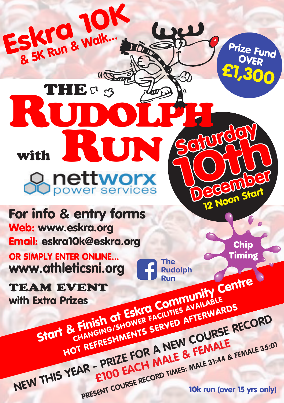For info & entry forms Web: www.eskra.org Email: eskra10k@eskra.org

**RUN** 

Rudolph

SKI & Walk...

THE C 3

Eskra 10K

OR SIMPLY ENTER ONLINE... www.athleticsni.org

TEAM EVENT With Extra Prizes<br>Start & Finish at Eskra Communication Run<br>Extra Prizes<br>Start & Finish at Eskra Community Centre<br>Start & Finish at Eskra Counties Available **B. Finish of Eskro COUNTIES AVAILARDS**<br>CHANGING/SHOWER SERVED AFTERWARDS<br>HOT REFRESHMENTS SERVED AFTERWARDS

with

**STOIT & FINISH OT SHOWER FACH WED AFTENWALE**<br> **HOT REFRESHMENTS SERVED AFTENWALE**<br> **HOT REFRESHMENTS A NEW COURSE RECORD**<br> **NEW THIS YEAR - PRIZE FOR A MALE & FEMALE** 35:0 REFREENT COURSE RECORD TIMES: MALE 31:44 & FEMALE 35:01<br>
PRESENT COURSE RECORD TIMES: MALE 31:44 & FEMALE 35:01

December 12 Noon Start

> **Chip Timing**

Prize Fund OVER

£1,300

**Schurchen** 

OIN

**The Rudolph**